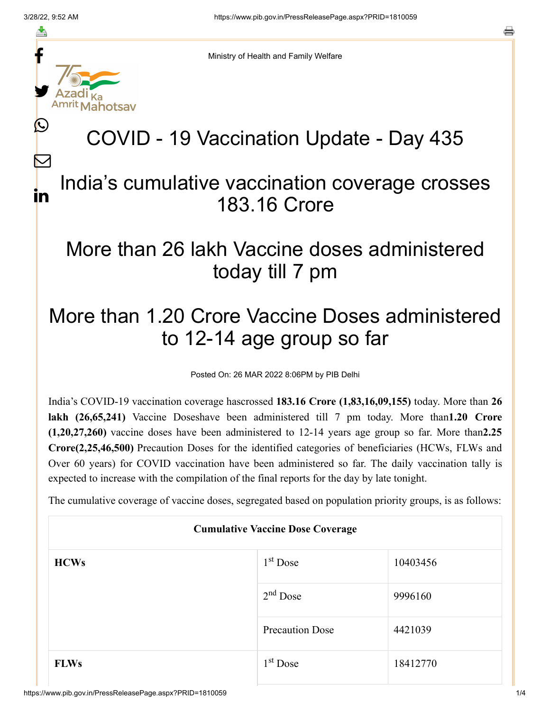f

≛

y.

lahotsav

L

 $\bm{\nabla}$ 

in

a

Ministry of Health and Family Welfare

# COVID - 19 Vaccination Update - Day 435

#### India's cumulative vaccination coverage crosses 183.16 Crore

### More than 26 lakh Vaccine doses administered today till 7 pm

## More than 1.20 Crore Vaccine Doses administered to 12-14 age group so far

Posted On: 26 MAR 2022 8:06PM by PIB Delhi

India's COVID-19 vaccination coverage hascrossed **183.16 Crore (1,83,16,09,155)** today. More than **26 lakh (26,65,241)** Vaccine Doseshave been administered till 7 pm today. More than**1.20 Crore (1,20,27,260)** vaccine doses have been administered to 12-14 years age group so far. More than**2.25 Crore(2,25,46,500)** Precaution Doses for the identified categories of beneficiaries (HCWs, FLWs and Over 60 years) for COVID vaccination have been administered so far. The daily vaccination tally is expected to increase with the compilation of the final reports for the day by late tonight.

The cumulative coverage of vaccine doses, segregated based on population priority groups, is as follows:

| <b>Cumulative Vaccine Dose Coverage</b> |                        |          |  |
|-----------------------------------------|------------------------|----------|--|
| <b>HCWs</b>                             | $1st$ Dose             | 10403456 |  |
|                                         | $2nd$ Dose             | 9996160  |  |
|                                         | <b>Precaution Dose</b> | 4421039  |  |
| <b>FLWs</b>                             | $1st$ Dose             | 18412770 |  |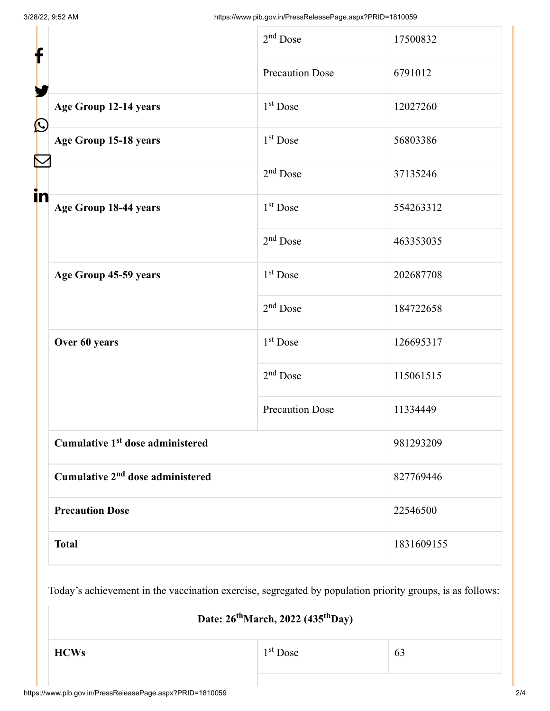| f                      |                                              | $2nd$ Dose             | 17500832   |
|------------------------|----------------------------------------------|------------------------|------------|
|                        |                                              | <b>Precaution Dose</b> | 6791012    |
| $\bigcirc$             | Age Group 12-14 years                        | 1 <sup>st</sup> Dose   | 12027260   |
|                        | Age Group 15-18 years                        | 1 <sup>st</sup> Dose   | 56803386   |
| $\blacktriangledown$   |                                              | $2nd$ Dose             | 37135246   |
| in                     | Age Group 18-44 years                        | $1st$ Dose             | 554263312  |
|                        |                                              | $2nd$ Dose             | 463353035  |
|                        | Age Group 45-59 years                        | 1 <sup>st</sup> Dose   | 202687708  |
|                        |                                              | $2nd$ Dose             | 184722658  |
|                        | Over 60 years                                | $1st$ Dose             | 126695317  |
|                        |                                              | $2nd$ Dose             | 115061515  |
|                        |                                              | <b>Precaution Dose</b> | 11334449   |
|                        | Cumulative 1 <sup>st</sup> dose administered |                        | 981293209  |
|                        | Cumulative 2 <sup>nd</sup> dose administered |                        | 827769446  |
| <b>Precaution Dose</b> |                                              | 22546500               |            |
|                        | <b>Total</b>                                 |                        | 1831609155 |

Today's achievement in the vaccination exercise, segregated by population priority groups, is as follows:

**Date: 26 March, 2022 (435 Day) th th**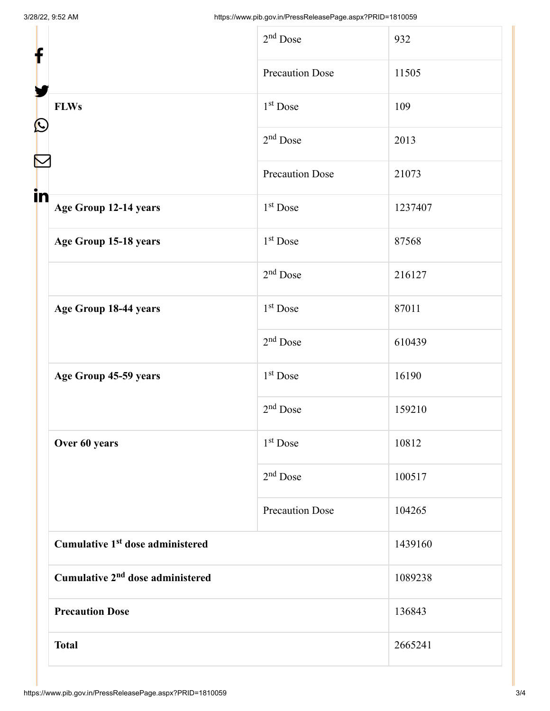| f                                            | $2nd$ Dose             | 932     |
|----------------------------------------------|------------------------|---------|
|                                              | <b>Precaution Dose</b> | 11505   |
| <b>FLWs</b><br>$\mathbf{\Omega}$             | $1st$ Dose             | 109     |
|                                              | $2nd$ Dose             | 2013    |
|                                              | <b>Precaution Dose</b> | 21073   |
| in<br>Age Group 12-14 years                  | $1st$ Dose             | 1237407 |
| Age Group 15-18 years                        | 1 <sup>st</sup> Dose   | 87568   |
|                                              | $2nd$ Dose             | 216127  |
| Age Group 18-44 years                        | 1 <sup>st</sup> Dose   | 87011   |
|                                              | $2nd$ Dose             | 610439  |
| Age Group 45-59 years                        | 1 <sup>st</sup> Dose   | 16190   |
|                                              | $2nd$ Dose             | 159210  |
| Over 60 years                                | 1 <sup>st</sup> Dose   | 10812   |
|                                              | $2nd$ Dose             | 100517  |
|                                              | <b>Precaution Dose</b> | 104265  |
| Cumulative 1 <sup>st</sup> dose administered |                        | 1439160 |
| Cumulative 2 <sup>nd</sup> dose administered |                        | 1089238 |
| <b>Precaution Dose</b>                       |                        | 136843  |
| <b>Total</b>                                 |                        | 2665241 |